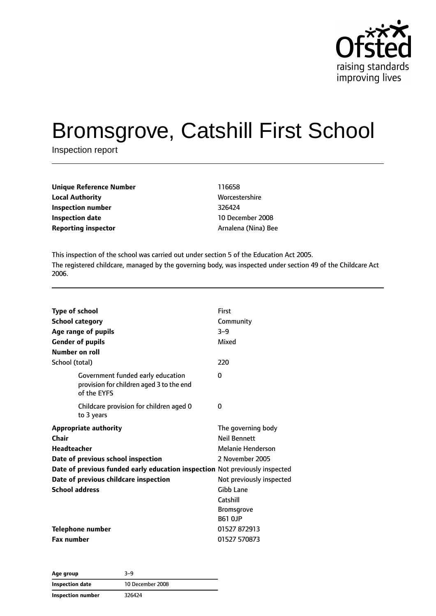

# Bromsgrove, Catshill First School

Inspection report

| <b>Unique Reference Number</b> | 116658        |
|--------------------------------|---------------|
| <b>Local Authority</b>         | <b>Worces</b> |
| Inspection number              | 326424        |
| Inspection date                | 10 Dec        |
| <b>Reporting inspector</b>     | Arnaler       |

**Worcestershire 10 December 2008 Reporting inspector** Arnalena (Nina) Bee

This inspection of the school was carried out under section 5 of the Education Act 2005. The registered childcare, managed by the governing body, was inspected under section 49 of the Childcare Act 2006.

| <b>Type of school</b><br><b>School category</b><br>Age range of pupils<br><b>Gender of pupils</b><br>Number on roll | First<br>Community<br>$3 - 9$<br>Mixed |
|---------------------------------------------------------------------------------------------------------------------|----------------------------------------|
| School (total)                                                                                                      | 220                                    |
| Government funded early education<br>provision for children aged 3 to the end<br>of the EYFS                        | 0                                      |
| Childcare provision for children aged 0<br>to 3 years                                                               | $\Omega$                               |
| <b>Appropriate authority</b>                                                                                        | The governing body                     |
| Chair                                                                                                               | <b>Neil Bennett</b>                    |
| <b>Headteacher</b>                                                                                                  | Melanie Henderson                      |
| Date of previous school inspection                                                                                  | 2 November 2005                        |
| Date of previous funded early education inspection Not previously inspected                                         |                                        |
| Date of previous childcare inspection                                                                               | Not previously inspected               |
| <b>School address</b>                                                                                               | Gibb Lane                              |
|                                                                                                                     | Catshill                               |
|                                                                                                                     | <b>Bromsgrove</b>                      |
|                                                                                                                     | <b>B61 OJP</b>                         |
| Telephone number                                                                                                    | 01527 872913                           |
| <b>Fax number</b>                                                                                                   | 01527 570873                           |

| Age group         | 3-9              |
|-------------------|------------------|
| Inspection date   | 10 December 2008 |
| Inspection number | 326424           |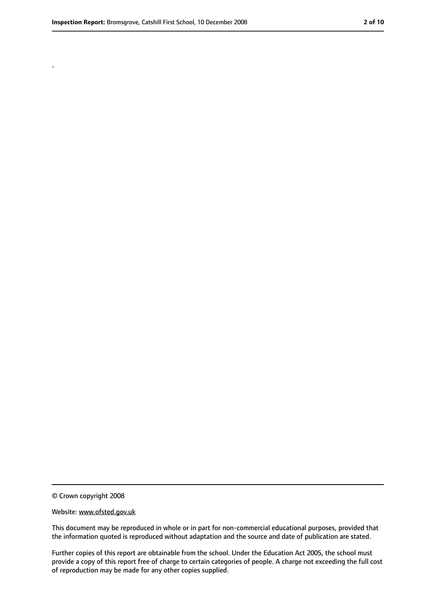.

<sup>©</sup> Crown copyright 2008

Website: www.ofsted.gov.uk

This document may be reproduced in whole or in part for non-commercial educational purposes, provided that the information quoted is reproduced without adaptation and the source and date of publication are stated.

Further copies of this report are obtainable from the school. Under the Education Act 2005, the school must provide a copy of this report free of charge to certain categories of people. A charge not exceeding the full cost of reproduction may be made for any other copies supplied.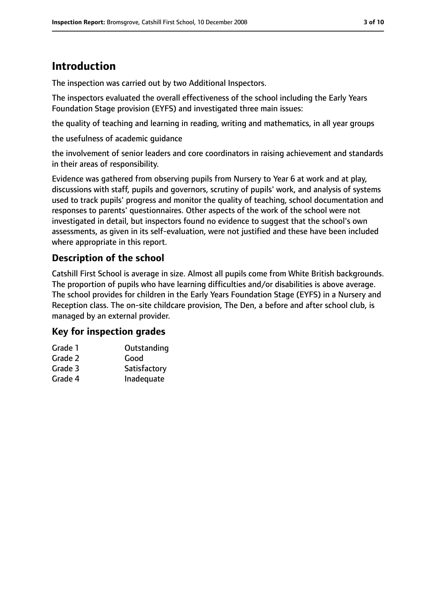### **Introduction**

The inspection was carried out by two Additional Inspectors.

The inspectors evaluated the overall effectiveness of the school including the Early Years Foundation Stage provision (EYFS) and investigated three main issues:

the quality of teaching and learning in reading, writing and mathematics, in all year groups

the usefulness of academic guidance

the involvement of senior leaders and core coordinators in raising achievement and standards in their areas of responsibility.

Evidence was gathered from observing pupils from Nursery to Year 6 at work and at play, discussions with staff, pupils and governors, scrutiny of pupils' work, and analysis of systems used to track pupils' progress and monitor the quality of teaching, school documentation and responses to parents' questionnaires. Other aspects of the work of the school were not investigated in detail, but inspectors found no evidence to suggest that the school's own assessments, as given in its self-evaluation, were not justified and these have been included where appropriate in this report.

### **Description of the school**

Catshill First School is average in size. Almost all pupils come from White British backgrounds. The proportion of pupils who have learning difficulties and/or disabilities is above average. The school provides for children in the Early Years Foundation Stage (EYFS) in a Nursery and Reception class. The on-site childcare provision, The Den, a before and after school club, is managed by an external provider.

### **Key for inspection grades**

| Grade 1 | Outstanding  |
|---------|--------------|
| Grade 2 | Good         |
| Grade 3 | Satisfactory |
| Grade 4 | Inadequate   |
|         |              |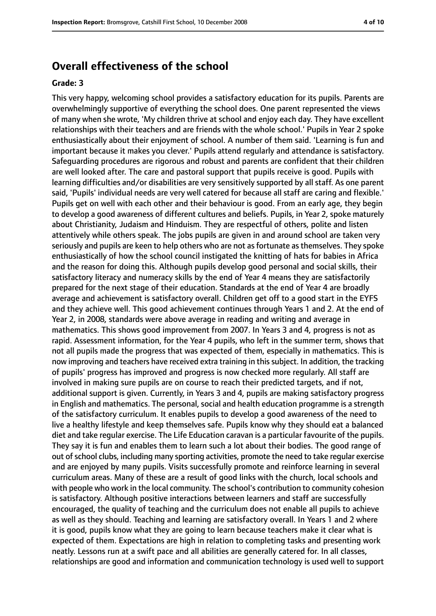### **Overall effectiveness of the school**

#### **Grade: 3**

This very happy, welcoming school provides a satisfactory education for its pupils. Parents are overwhelmingly supportive of everything the school does. One parent represented the views of many when she wrote, 'My children thrive at school and enjoy each day. They have excellent relationships with their teachers and are friends with the whole school.' Pupils in Year 2 spoke enthusiastically about their enjoyment of school. A number of them said. 'Learning is fun and important because it makes you clever.' Pupils attend regularly and attendance is satisfactory. Safeguarding procedures are rigorous and robust and parents are confident that their children are well looked after. The care and pastoral support that pupils receive is good. Pupils with learning difficulties and/or disabilities are very sensitively supported by all staff. As one parent said, 'Pupils' individual needs are very well catered for because all staff are caring and flexible.' Pupils get on well with each other and their behaviour is good. From an early age, they begin to develop a good awareness of different cultures and beliefs. Pupils, in Year 2, spoke maturely about Christianity, Judaism and Hinduism. They are respectful of others, polite and listen attentively while others speak. The jobs pupils are given in and around school are taken very seriously and pupils are keen to help others who are not as fortunate as themselves. They spoke enthusiastically of how the school council instigated the knitting of hats for babies in Africa and the reason for doing this. Although pupils develop good personal and social skills, their satisfactory literacy and numeracy skills by the end of Year 4 means they are satisfactorily prepared for the next stage of their education. Standards at the end of Year 4 are broadly average and achievement is satisfactory overall. Children get off to a good start in the EYFS and they achieve well. This good achievement continues through Years 1 and 2. At the end of Year 2, in 2008, standards were above average in reading and writing and average in mathematics. This shows good improvement from 2007. In Years 3 and 4, progress is not as rapid. Assessment information, for the Year 4 pupils, who left in the summer term, shows that not all pupils made the progress that was expected of them, especially in mathematics. This is now improving and teachers have received extra training in this subject. In addition, the tracking of pupils' progress has improved and progress is now checked more regularly. All staff are involved in making sure pupils are on course to reach their predicted targets, and if not, additional support is given. Currently, in Years 3 and 4, pupils are making satisfactory progress in English and mathematics. The personal, social and health education programme is a strength of the satisfactory curriculum. It enables pupils to develop a good awareness of the need to live a healthy lifestyle and keep themselves safe. Pupils know why they should eat a balanced diet and take regular exercise. The Life Education caravan is a particular favourite of the pupils. They say it is fun and enables them to learn such a lot about their bodies. The good range of out of school clubs, including many sporting activities, promote the need to take regular exercise and are enjoyed by many pupils. Visits successfully promote and reinforce learning in several curriculum areas. Many of these are a result of good links with the church, local schools and with people who work in the local community. The school's contribution to community cohesion is satisfactory. Although positive interactions between learners and staff are successfully encouraged, the quality of teaching and the curriculum does not enable all pupils to achieve as well as they should. Teaching and learning are satisfactory overall. In Years 1 and 2 where it is good, pupils know what they are going to learn because teachers make it clear what is expected of them. Expectations are high in relation to completing tasks and presenting work neatly. Lessons run at a swift pace and all abilities are generally catered for. In all classes, relationships are good and information and communication technology is used well to support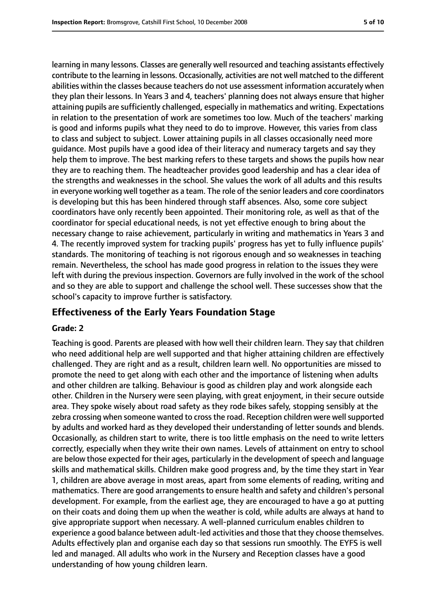learning in many lessons. Classes are generally well resourced and teaching assistants effectively contribute to the learning in lessons. Occasionally, activities are not well matched to the different abilities within the classes because teachers do not use assessment information accurately when they plan their lessons. In Years 3 and 4, teachers' planning does not always ensure that higher attaining pupils are sufficiently challenged, especially in mathematics and writing. Expectations in relation to the presentation of work are sometimes too low. Much of the teachers' marking is good and informs pupils what they need to do to improve. However, this varies from class to class and subject to subject. Lower attaining pupils in all classes occasionally need more guidance. Most pupils have a good idea of their literacy and numeracy targets and say they help them to improve. The best marking refers to these targets and shows the pupils how near they are to reaching them. The headteacher provides good leadership and has a clear idea of the strengths and weaknesses in the school. She values the work of all adults and this results in everyone working well together as a team. The role of the senior leaders and core coordinators is developing but this has been hindered through staff absences. Also, some core subject coordinators have only recently been appointed. Their monitoring role, as well as that of the coordinator for special educational needs, is not yet effective enough to bring about the necessary change to raise achievement, particularly in writing and mathematics in Years 3 and 4. The recently improved system for tracking pupils' progress has yet to fully influence pupils' standards. The monitoring of teaching is not rigorous enough and so weaknesses in teaching remain. Nevertheless, the school has made good progress in relation to the issues they were left with during the previous inspection. Governors are fully involved in the work of the school and so they are able to support and challenge the school well. These successes show that the school's capacity to improve further is satisfactory.

### **Effectiveness of the Early Years Foundation Stage**

#### **Grade: 2**

Teaching is good. Parents are pleased with how well their children learn. They say that children who need additional help are well supported and that higher attaining children are effectively challenged. They are right and as a result, children learn well. No opportunities are missed to promote the need to get along with each other and the importance of listening when adults and other children are talking. Behaviour is good as children play and work alongside each other. Children in the Nursery were seen playing, with great enjoyment, in their secure outside area. They spoke wisely about road safety as they rode bikes safely, stopping sensibly at the zebra crossing when someone wanted to cross the road. Reception children were well supported by adults and worked hard as they developed their understanding of letter sounds and blends. Occasionally, as children start to write, there is too little emphasis on the need to write letters correctly, especially when they write their own names. Levels of attainment on entry to school are below those expected for their ages, particularly in the development of speech and language skills and mathematical skills. Children make good progress and, by the time they start in Year 1, children are above average in most areas, apart from some elements of reading, writing and mathematics. There are good arrangements to ensure health and safety and children's personal development. For example, from the earliest age, they are encouraged to have a go at putting on their coats and doing them up when the weather is cold, while adults are always at hand to give appropriate support when necessary. A well-planned curriculum enables children to experience a good balance between adult-led activities and those that they choose themselves. Adults effectively plan and organise each day so that sessions run smoothly. The EYFS is well led and managed. All adults who work in the Nursery and Reception classes have a good understanding of how young children learn.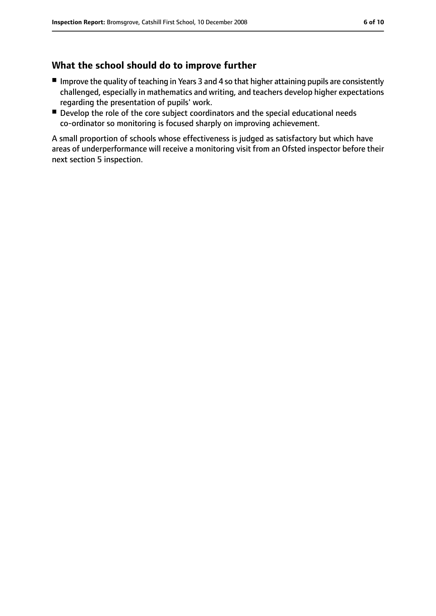### **What the school should do to improve further**

- Improve the quality of teaching in Years 3 and 4 so that higher attaining pupils are consistently challenged, especially in mathematics and writing, and teachers develop higher expectations regarding the presentation of pupils' work.
- Develop the role of the core subject coordinators and the special educational needs co-ordinator so monitoring is focused sharply on improving achievement.

A small proportion of schools whose effectiveness is judged as satisfactory but which have areas of underperformance will receive a monitoring visit from an Ofsted inspector before their next section 5 inspection.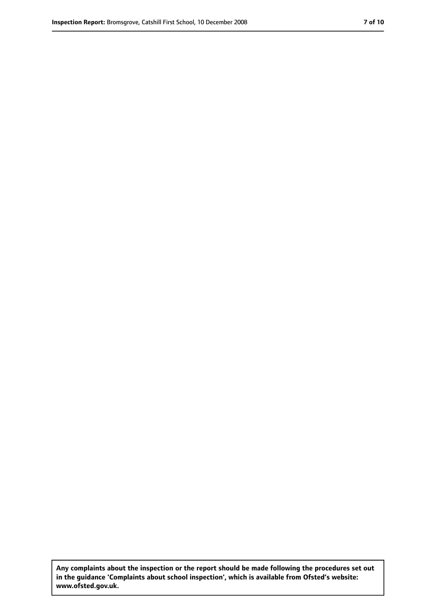**Any complaints about the inspection or the report should be made following the procedures set out in the guidance 'Complaints about school inspection', which is available from Ofsted's website: www.ofsted.gov.uk.**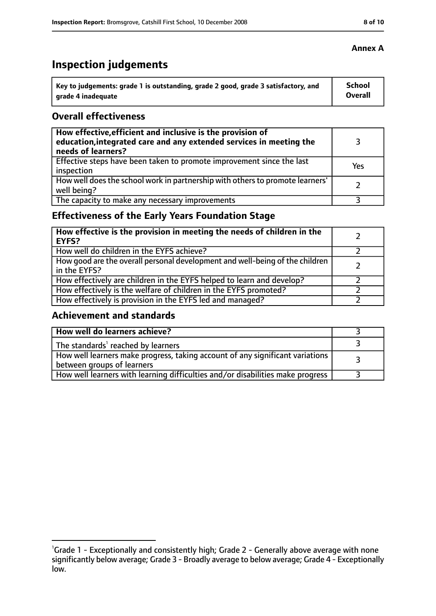# **Inspection judgements**

| Key to judgements: grade 1 is outstanding, grade 2 good, grade 3 satisfactory, and | School  |
|------------------------------------------------------------------------------------|---------|
| arade 4 inadequate                                                                 | Overall |

### **Overall effectiveness**

| How effective, efficient and inclusive is the provision of<br>education, integrated care and any extended services in meeting the<br>needs of learners? |     |
|---------------------------------------------------------------------------------------------------------------------------------------------------------|-----|
| Effective steps have been taken to promote improvement since the last<br>inspection                                                                     | Yes |
| How well does the school work in partnership with others to promote learners'<br>well being?                                                            |     |
| The capacity to make any necessary improvements                                                                                                         |     |

### **Effectiveness of the Early Years Foundation Stage**

| How effective is the provision in meeting the needs of children in the<br><b>EYFS?</b>       |  |
|----------------------------------------------------------------------------------------------|--|
| How well do children in the EYFS achieve?                                                    |  |
| How good are the overall personal development and well-being of the children<br>in the EYFS? |  |
| How effectively are children in the EYFS helped to learn and develop?                        |  |
| How effectively is the welfare of children in the EYFS promoted?                             |  |
| How effectively is provision in the EYFS led and managed?                                    |  |

### **Achievement and standards**

| How well do learners achieve?                                                                               |  |
|-------------------------------------------------------------------------------------------------------------|--|
| The standards <sup>1</sup> reached by learners                                                              |  |
| How well learners make progress, taking account of any significant variations<br>between groups of learners |  |
| How well learners with learning difficulties and/or disabilities make progress                              |  |

<sup>&</sup>lt;sup>1</sup>Grade 1 - Exceptionally and consistently high; Grade 2 - Generally above average with none significantly below average; Grade 3 - Broadly average to below average; Grade 4 - Exceptionally low.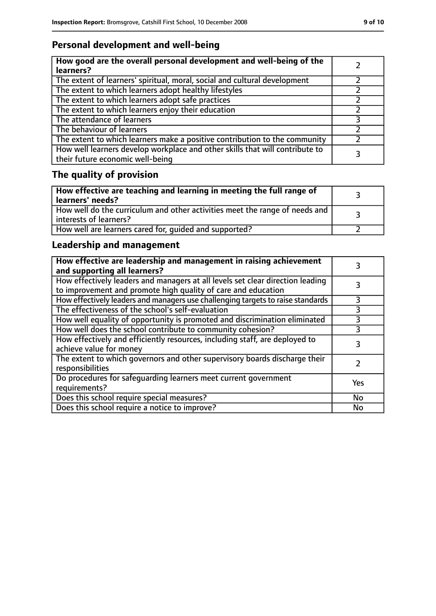### **Personal development and well-being**

| How good are the overall personal development and well-being of the<br>learners?                                 |  |
|------------------------------------------------------------------------------------------------------------------|--|
| The extent of learners' spiritual, moral, social and cultural development                                        |  |
| The extent to which learners adopt healthy lifestyles                                                            |  |
| The extent to which learners adopt safe practices                                                                |  |
| The extent to which learners enjoy their education                                                               |  |
| The attendance of learners                                                                                       |  |
| The behaviour of learners                                                                                        |  |
| The extent to which learners make a positive contribution to the community                                       |  |
| How well learners develop workplace and other skills that will contribute to<br>their future economic well-being |  |

## **The quality of provision**

| How effective are teaching and learning in meeting the full range of<br>learners' needs?                |  |
|---------------------------------------------------------------------------------------------------------|--|
| How well do the curriculum and other activities meet the range of needs and<br>  interests of learners? |  |
| How well are learners cared for, quided and supported?                                                  |  |

### **Leadership and management**

| How effective are leadership and management in raising achievement<br>and supporting all learners?                                              |     |
|-------------------------------------------------------------------------------------------------------------------------------------------------|-----|
| How effectively leaders and managers at all levels set clear direction leading<br>to improvement and promote high quality of care and education |     |
| How effectively leaders and managers use challenging targets to raise standards                                                                 |     |
| The effectiveness of the school's self-evaluation                                                                                               | 3   |
| How well equality of opportunity is promoted and discrimination eliminated                                                                      | 3   |
| How well does the school contribute to community cohesion?                                                                                      | 3   |
| How effectively and efficiently resources, including staff, are deployed to<br>achieve value for money                                          | 3   |
| The extent to which governors and other supervisory boards discharge their<br>responsibilities                                                  |     |
| Do procedures for safequarding learners meet current government<br>requirements?                                                                | Yes |
| Does this school require special measures?                                                                                                      | No  |
| Does this school require a notice to improve?                                                                                                   | No  |